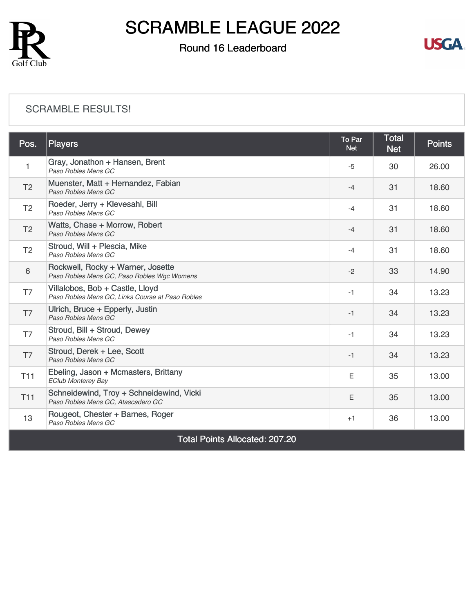

## Round 16 Leaderboard



#### [SCRAMBLE RESULTS!](https://static.golfgenius.com/v2tournaments/8570287806578999271?called_from=&round_index=16)

| Pos.                                  | <b>Players</b>                                                                      | To Par<br><b>Net</b> | <b>Total</b><br><b>Net</b> | <b>Points</b> |  |  |
|---------------------------------------|-------------------------------------------------------------------------------------|----------------------|----------------------------|---------------|--|--|
| 1                                     | Gray, Jonathon + Hansen, Brent<br>Paso Robles Mens GC                               | $-5$                 | 30                         | 26.00         |  |  |
| T <sub>2</sub>                        | Muenster, Matt + Hernandez, Fabian<br>Paso Robles Mens GC                           | $-4$                 | 31                         | 18.60         |  |  |
| T <sub>2</sub>                        | Roeder, Jerry + Klevesahl, Bill<br>Paso Robles Mens GC                              | $-4$                 | 31                         | 18.60         |  |  |
| T <sub>2</sub>                        | Watts, Chase + Morrow, Robert<br>Paso Robles Mens GC                                | $-4$                 | 31                         | 18.60         |  |  |
| T <sub>2</sub>                        | Stroud, Will + Plescia, Mike<br>Paso Robles Mens GC                                 | $-4$                 | 31                         | 18.60         |  |  |
| 6                                     | Rockwell, Rocky + Warner, Josette<br>Paso Robles Mens GC, Paso Robles Wgc Womens    | $-2$                 | 33                         | 14.90         |  |  |
| T7                                    | Villalobos, Bob + Castle, Lloyd<br>Paso Robles Mens GC, Links Course at Paso Robles | $-1$                 | 34                         | 13.23         |  |  |
| T7                                    | Ulrich, Bruce + Epperly, Justin<br>Paso Robles Mens GC                              | $-1$                 | 34                         | 13.23         |  |  |
| T7                                    | Stroud, Bill + Stroud, Dewey<br>Paso Robles Mens GC                                 | $-1$                 | 34                         | 13.23         |  |  |
| T <sub>7</sub>                        | Stroud, Derek + Lee, Scott<br>Paso Robles Mens GC                                   | $-1$                 | 34                         | 13.23         |  |  |
| T <sub>11</sub>                       | Ebeling, Jason + Mcmasters, Brittany<br><b>EClub Monterey Bay</b>                   | E                    | 35                         | 13.00         |  |  |
| <b>T11</b>                            | Schneidewind, Troy + Schneidewind, Vicki<br>Paso Robles Mens GC, Atascadero GC      | E                    | 35                         | 13.00         |  |  |
| 13                                    | Rougeot, Chester + Barnes, Roger<br>Paso Robles Mens GC                             | $+1$                 | 36                         | 13.00         |  |  |
| <b>Total Points Allocated: 207.20</b> |                                                                                     |                      |                            |               |  |  |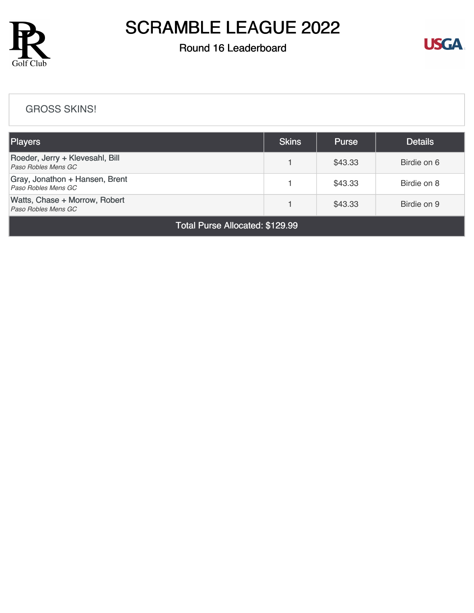

## Round 16 Leaderboard



#### [GROSS SKINS!](https://static.golfgenius.com/v2tournaments/8570288711005159400?called_from=&round_index=16)

| Players                                                | <b>Skins</b> | <b>Purse</b> | <b>Details</b> |  |  |  |
|--------------------------------------------------------|--------------|--------------|----------------|--|--|--|
| Roeder, Jerry + Klevesahl, Bill<br>Paso Robles Mens GC |              | \$43.33      | Birdie on 6    |  |  |  |
| Gray, Jonathon + Hansen, Brent<br>Paso Robles Mens GC  |              | \$43.33      | Birdie on 8    |  |  |  |
| Watts, Chase + Morrow, Robert<br>Paso Robles Mens GC   |              | \$43.33      | Birdie on 9    |  |  |  |
| Total Purse Allocated: \$129.99                        |              |              |                |  |  |  |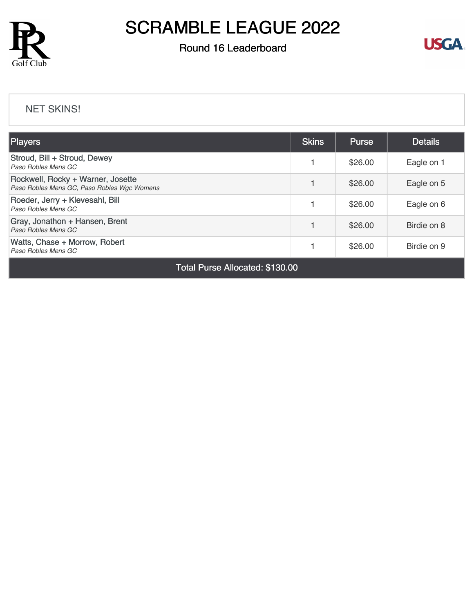

### Round 16 Leaderboard



#### [NET SKINS!](https://static.golfgenius.com/v2tournaments/8570289531444576233?called_from=&round_index=16)

| <b>Players</b>                                                                   |  | <b>Purse</b> | <b>Details</b> |
|----------------------------------------------------------------------------------|--|--------------|----------------|
| Stroud, Bill + Stroud, Dewey<br>Paso Robles Mens GC                              |  | \$26.00      | Eagle on 1     |
| Rockwell, Rocky + Warner, Josette<br>Paso Robles Mens GC, Paso Robles Wgc Womens |  | \$26.00      | Eagle on 5     |
| Roeder, Jerry + Klevesahl, Bill<br>Paso Robles Mens GC                           |  | \$26.00      | Eagle on 6     |
| Gray, Jonathon + Hansen, Brent<br>Paso Robles Mens GC                            |  | \$26.00      | Birdie on 8    |
| Watts, Chase + Morrow, Robert<br>Paso Robles Mens GC                             |  | \$26.00      | Birdie on 9    |

Total Purse Allocated: \$130.00